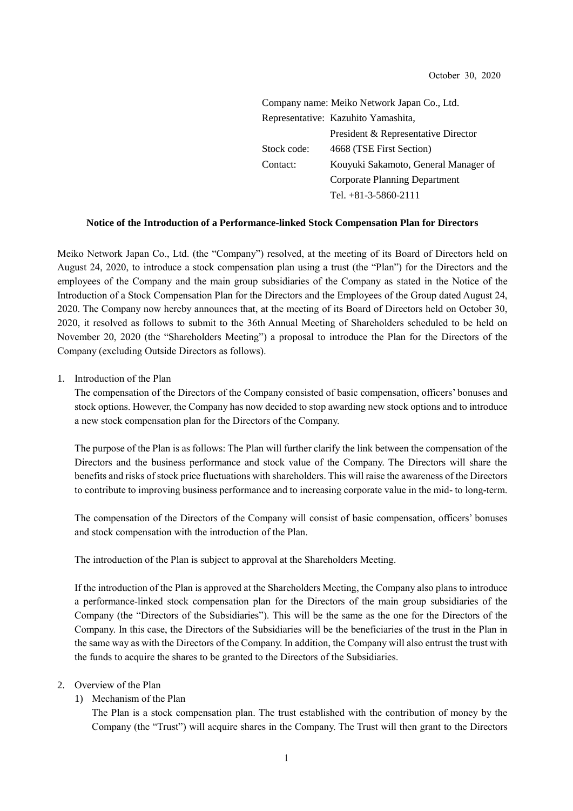|             | Company name: Meiko Network Japan Co., Ltd. |
|-------------|---------------------------------------------|
|             | Representative: Kazuhito Yamashita,         |
|             | President & Representative Director         |
| Stock code: | 4668 (TSE First Section)                    |
| Contact:    | Kouyuki Sakamoto, General Manager of        |
|             | <b>Corporate Planning Department</b>        |
|             | Tel. $+81-3-5860-2111$                      |

#### **Notice of the Introduction of a Performance-linked Stock Compensation Plan for Directors**

Meiko Network Japan Co., Ltd. (the "Company") resolved, at the meeting of its Board of Directors held on August 24, 2020, to introduce a stock compensation plan using a trust (the "Plan") for the Directors and the employees of the Company and the main group subsidiaries of the Company as stated in the Notice of the Introduction of a Stock Compensation Plan for the Directors and the Employees of the Group dated August 24, 2020. The Company now hereby announces that, at the meeting of its Board of Directors held on October 30, 2020, it resolved as follows to submit to the 36th Annual Meeting of Shareholders scheduled to be held on November 20, 2020 (the "Shareholders Meeting") a proposal to introduce the Plan for the Directors of the Company (excluding Outside Directors as follows).

1. Introduction of the Plan

The compensation of the Directors of the Company consisted of basic compensation, officers' bonuses and stock options. However, the Company has now decided to stop awarding new stock options and to introduce a new stock compensation plan for the Directors of the Company.

The purpose of the Plan is as follows: The Plan will further clarify the link between the compensation of the Directors and the business performance and stock value of the Company. The Directors will share the benefits and risks of stock price fluctuations with shareholders. This will raise the awareness of the Directors to contribute to improving business performance and to increasing corporate value in the mid- to long-term.

The compensation of the Directors of the Company will consist of basic compensation, officers' bonuses and stock compensation with the introduction of the Plan.

The introduction of the Plan is subject to approval at the Shareholders Meeting.

If the introduction of the Plan is approved at the Shareholders Meeting, the Company also plans to introduce a performance-linked stock compensation plan for the Directors of the main group subsidiaries of the Company (the "Directors of the Subsidiaries"). This will be the same as the one for the Directors of the Company. In this case, the Directors of the Subsidiaries will be the beneficiaries of the trust in the Plan in the same way as with the Directors of the Company. In addition, the Company will also entrust the trust with the funds to acquire the shares to be granted to the Directors of the Subsidiaries.

#### 2. Overview of the Plan

## 1) Mechanism of the Plan

The Plan is a stock compensation plan. The trust established with the contribution of money by the Company (the "Trust") will acquire shares in the Company. The Trust will then grant to the Directors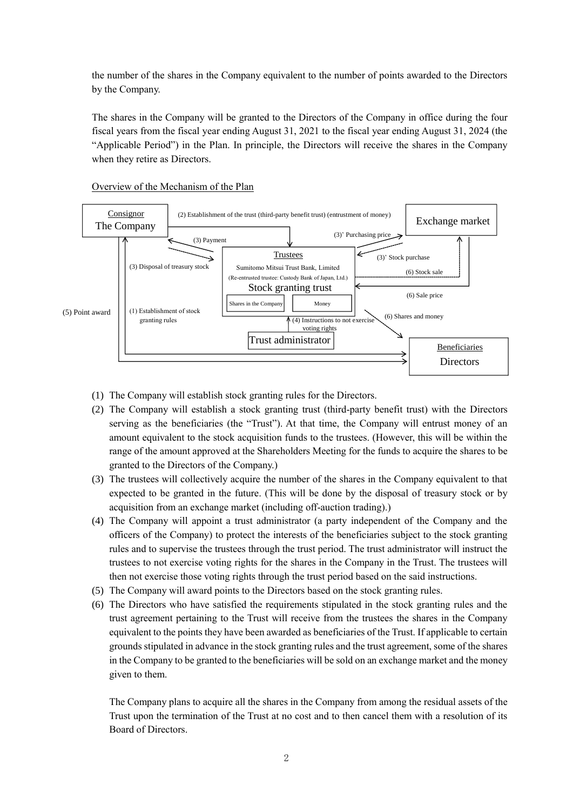the number of the shares in the Company equivalent to the number of points awarded to the Directors by the Company.

The shares in the Company will be granted to the Directors of the Company in office during the four fiscal years from the fiscal year ending August 31, 2021 to the fiscal year ending August 31, 2024 (the "Applicable Period") in the Plan. In principle, the Directors will receive the shares in the Company when they retire as Directors.



## Overview of the Mechanism of the Plan

- (1) The Company will establish stock granting rules for the Directors.
- (2) The Company will establish a stock granting trust (third-party benefit trust) with the Directors serving as the beneficiaries (the "Trust"). At that time, the Company will entrust money of an amount equivalent to the stock acquisition funds to the trustees. (However, this will be within the range of the amount approved at the Shareholders Meeting for the funds to acquire the shares to be granted to the Directors of the Company.)
- (3) The trustees will collectively acquire the number of the shares in the Company equivalent to that expected to be granted in the future. (This will be done by the disposal of treasury stock or by acquisition from an exchange market (including off-auction trading).)
- (4) The Company will appoint a trust administrator (a party independent of the Company and the officers of the Company) to protect the interests of the beneficiaries subject to the stock granting rules and to supervise the trustees through the trust period. The trust administrator will instruct the trustees to not exercise voting rights for the shares in the Company in the Trust. The trustees will then not exercise those voting rights through the trust period based on the said instructions.
- (5) The Company will award points to the Directors based on the stock granting rules.
- (6) The Directors who have satisfied the requirements stipulated in the stock granting rules and the trust agreement pertaining to the Trust will receive from the trustees the shares in the Company equivalent to the points they have been awarded as beneficiaries of the Trust. If applicable to certain grounds stipulated in advance in the stock granting rules and the trust agreement, some of the shares in the Company to be granted to the beneficiaries will be sold on an exchange market and the money given to them.

The Company plans to acquire all the shares in the Company from among the residual assets of the Trust upon the termination of the Trust at no cost and to then cancel them with a resolution of its Board of Directors.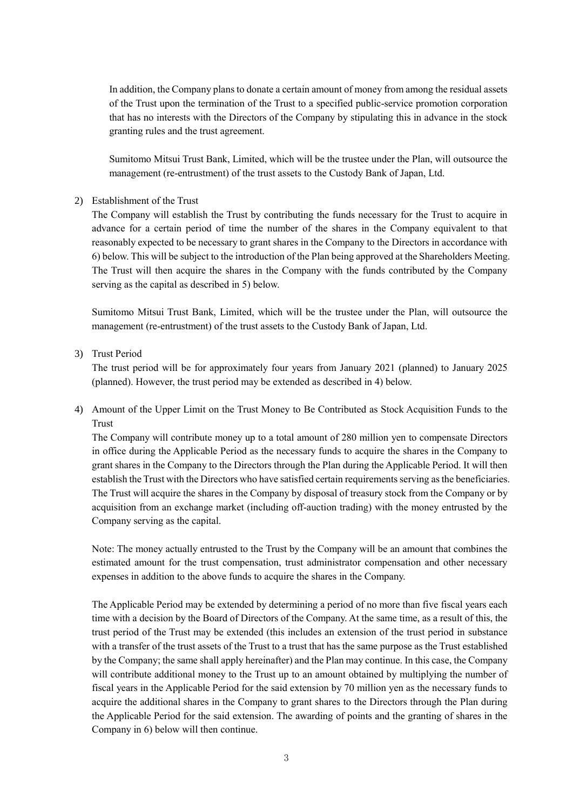In addition, the Company plans to donate a certain amount of money from among the residual assets of the Trust upon the termination of the Trust to a specified public-service promotion corporation that has no interests with the Directors of the Company by stipulating this in advance in the stock granting rules and the trust agreement.

Sumitomo Mitsui Trust Bank, Limited, which will be the trustee under the Plan, will outsource the management (re-entrustment) of the trust assets to the Custody Bank of Japan, Ltd.

#### 2) Establishment of the Trust

The Company will establish the Trust by contributing the funds necessary for the Trust to acquire in advance for a certain period of time the number of the shares in the Company equivalent to that reasonably expected to be necessary to grant shares in the Company to the Directors in accordance with 6) below. This will be subject to the introduction of the Plan being approved at the Shareholders Meeting. The Trust will then acquire the shares in the Company with the funds contributed by the Company serving as the capital as described in 5) below.

Sumitomo Mitsui Trust Bank, Limited, which will be the trustee under the Plan, will outsource the management (re-entrustment) of the trust assets to the Custody Bank of Japan, Ltd.

# 3) Trust Period

The trust period will be for approximately four years from January 2021 (planned) to January 2025 (planned). However, the trust period may be extended as described in 4) below.

4) Amount of the Upper Limit on the Trust Money to Be Contributed as Stock Acquisition Funds to the Trust

The Company will contribute money up to a total amount of 280 million yen to compensate Directors in office during the Applicable Period as the necessary funds to acquire the shares in the Company to grant shares in the Company to the Directors through the Plan during the Applicable Period. It will then establish the Trust with the Directors who have satisfied certain requirements serving as the beneficiaries. The Trust will acquire the shares in the Company by disposal of treasury stock from the Company or by acquisition from an exchange market (including off-auction trading) with the money entrusted by the Company serving as the capital.

Note: The money actually entrusted to the Trust by the Company will be an amount that combines the estimated amount for the trust compensation, trust administrator compensation and other necessary expenses in addition to the above funds to acquire the shares in the Company.

The Applicable Period may be extended by determining a period of no more than five fiscal years each time with a decision by the Board of Directors of the Company. At the same time, as a result of this, the trust period of the Trust may be extended (this includes an extension of the trust period in substance with a transfer of the trust assets of the Trust to a trust that has the same purpose as the Trust established by the Company; the same shall apply hereinafter) and the Plan may continue. In this case, the Company will contribute additional money to the Trust up to an amount obtained by multiplying the number of fiscal years in the Applicable Period for the said extension by 70 million yen as the necessary funds to acquire the additional shares in the Company to grant shares to the Directors through the Plan during the Applicable Period for the said extension. The awarding of points and the granting of shares in the Company in 6) below will then continue.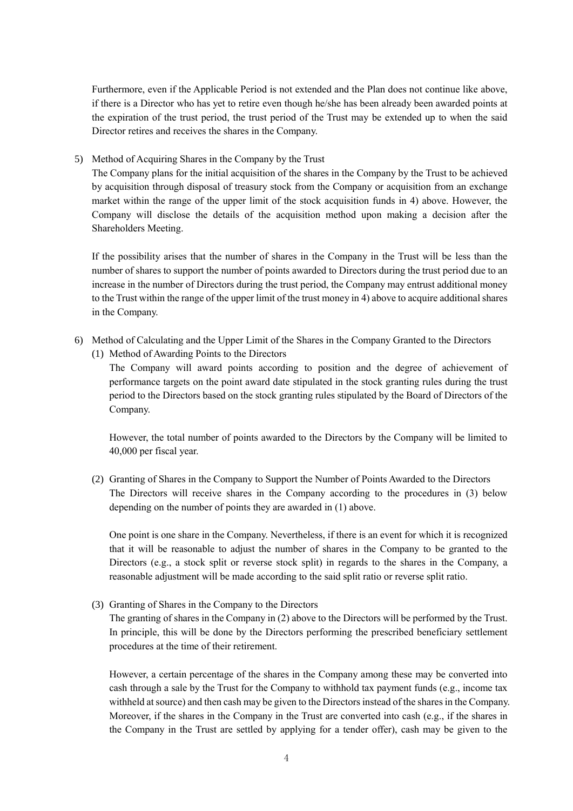Furthermore, even if the Applicable Period is not extended and the Plan does not continue like above, if there is a Director who has yet to retire even though he/she has been already been awarded points at the expiration of the trust period, the trust period of the Trust may be extended up to when the said Director retires and receives the shares in the Company.

5) Method of Acquiring Shares in the Company by the Trust

The Company plans for the initial acquisition of the shares in the Company by the Trust to be achieved by acquisition through disposal of treasury stock from the Company or acquisition from an exchange market within the range of the upper limit of the stock acquisition funds in 4) above. However, the Company will disclose the details of the acquisition method upon making a decision after the Shareholders Meeting.

If the possibility arises that the number of shares in the Company in the Trust will be less than the number of shares to support the number of points awarded to Directors during the trust period due to an increase in the number of Directors during the trust period, the Company may entrust additional money to the Trust within the range of the upper limit of the trust money in 4) above to acquire additional shares in the Company.

- 6) Method of Calculating and the Upper Limit of the Shares in the Company Granted to the Directors
	- (1) Method of Awarding Points to the Directors

The Company will award points according to position and the degree of achievement of performance targets on the point award date stipulated in the stock granting rules during the trust period to the Directors based on the stock granting rules stipulated by the Board of Directors of the Company.

However, the total number of points awarded to the Directors by the Company will be limited to 40,000 per fiscal year.

(2) Granting of Shares in the Company to Support the Number of Points Awarded to the Directors The Directors will receive shares in the Company according to the procedures in (3) below depending on the number of points they are awarded in (1) above.

One point is one share in the Company. Nevertheless, if there is an event for which it is recognized that it will be reasonable to adjust the number of shares in the Company to be granted to the Directors (e.g., a stock split or reverse stock split) in regards to the shares in the Company, a reasonable adjustment will be made according to the said split ratio or reverse split ratio.

(3) Granting of Shares in the Company to the Directors

The granting of shares in the Company in (2) above to the Directors will be performed by the Trust. In principle, this will be done by the Directors performing the prescribed beneficiary settlement procedures at the time of their retirement.

However, a certain percentage of the shares in the Company among these may be converted into cash through a sale by the Trust for the Company to withhold tax payment funds (e.g., income tax withheld at source) and then cash may be given to the Directors instead of the shares in the Company. Moreover, if the shares in the Company in the Trust are converted into cash (e.g., if the shares in the Company in the Trust are settled by applying for a tender offer), cash may be given to the